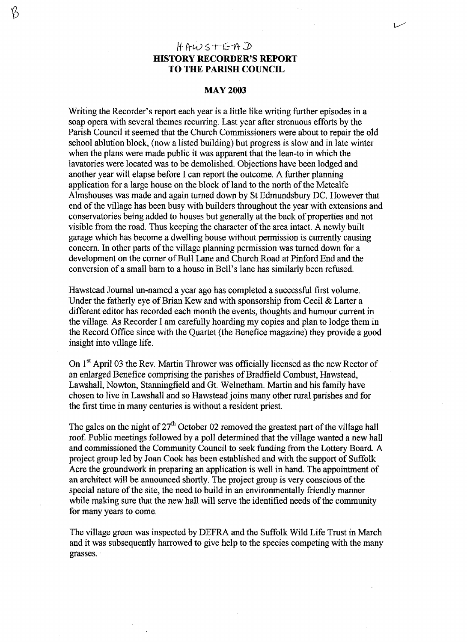## $HAWSTERD$ **HISTORY RECORDER'S REPORT TO THE PARISH COUNCIL**

B

## **MAY 2003**

Writing the Recorder's report each year is a little like writing further episodes in a soap opera with several themes recurring. Last year after strenuous efforts by the Parish Council it seemed that the Church Commissioners were about to repair the old school ablution block, (now a listed building) but progress is slow and in late winter when the plans were made public it was apparent that the lean-to in which the lavatories were located was to be demolished. Objections have been lodged and another year will elapse before I can report the outcome. A further planning application for a large house on the block of land to the north of the Metcalfe Almshouses was made and again turned down by St Edmundsbury DC. However that end of the village has been busy with builders throughout the year with extensions and conservatories being added to houses but generally at the back of properties and not visible from the road. Thus keeping the character of the area intact. A newly built garage which has become a dwelling house without permission is currently causing concern. In other parts of the village planning permission was turned down for a development on the corner of Bull Lane and Church Road at Pinford End and the conversion of a small barn to a house in Bell's lane has similarly been refused.

Hawstead Journal un-named a year ago has completed a successful first volume. Under the fatherly eye of Brian Kew and with sponsorship from Cecil & Larter a different editor has recorded each month the events, thoughts and humour current in the village. As Recorder I am carefully hoarding my copies and plan to lodge them in the Record Office since with the Quartet (the Benefice magazine) they provide a good insight into village life.

On 1<sup>st</sup> April 03 the Rev. Martin Thrower was officially licensed as the new Rector of an enlarged Benefice comprising the parishes of Bradfield Combust, Hawstead, Lawshall, Nowton, Stanningfield and Gt. Welnetham. Martin and his family have chosen to live in Lawshall and so Hawstead joins many other rural parishes and for the first time in many centuries is without a resident priest.

The gales on the night of  $27<sup>th</sup>$  October 02 removed the greatest part of the village hall roof. Public meetings followed by a poll determined that the village wanted a new hall and commissioned the Community Council to seek funding from the Lottery Board. A project group led by Joan Cook has been established and with the support of Suffolk Acre the groundwork in preparing an application is well in hand. The appointment of an architect will be announced shortly. The project group is very conscious of the special nature of the site, the need to build in an environmentally friendly manner while making sure that the new hall will serve the identified needs of the community for many years to come.

The village green was inspected by DEFRA and the Suffolk Wild Life Trust in March and it was subsequently harrowed to give help to the species competing with the many grasses.